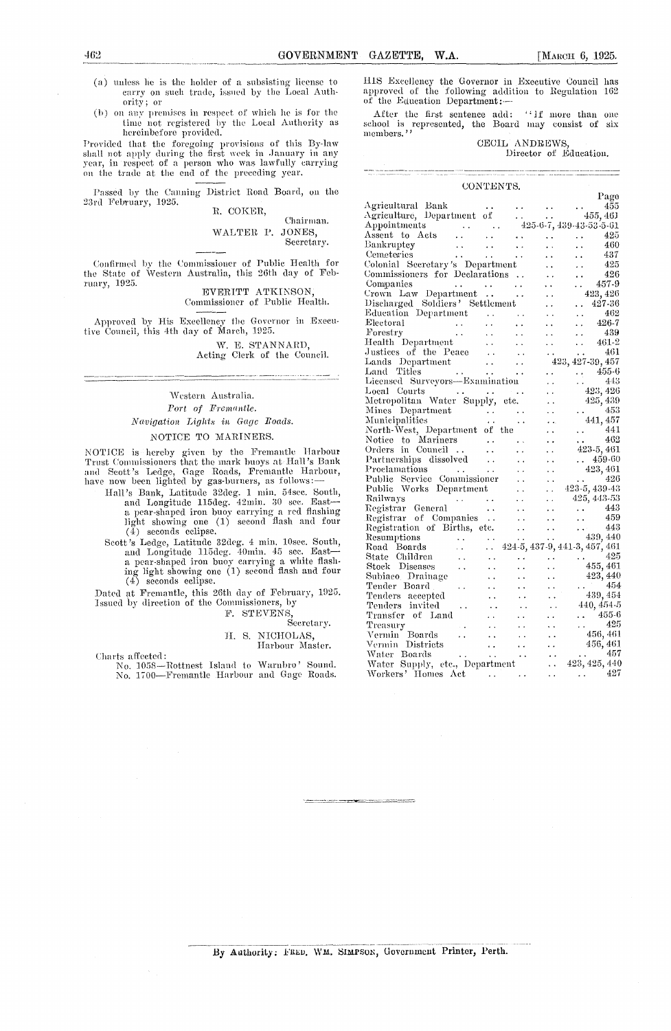- (a) unless he is the holder of a subsisting license to carry on such trade, issued by the Local Authority ; or
- (b) on any premises in respect of which he is for the time not registered by the Local Authority as hereinbefore provided.

Provided that the foregoing provisions of this By-law shall not apply during the first week in January in any year, in respect of a person who was lawfully carrying on the trade at the end of the preceding year.

Passed by the Canning District Road Board, on the 23rd February, 1925. R. COKER,

Chairman. WALTER P. JONES, Secretary.

Confirmed by the Commissioner of Public Health for the State of Western Australia, this 26th day of February, 1925.

EVERITT ATKINSON, Commissioner of Public Health.

Approved by His Excellency the Governor in Executive Council, this 4th day of March, 1025.

W. E. STANNARD, Acting Clerk of the Council.

Western Australia. *Port of Fremantle. A'avigatiou- Lights in Gage Roads.*

### NOTICE TO MARINERS.

NOTICE is hereby given by the Fremantle Harbour Trust Commissioners that the mark buoys at hall's Bank and Scott's Ledge, Gage Roads, Fremantle Harbour, have now been lighted by gas-burners, as follows:-

- Hall's Bank, Latitude 32deg. I min. 54see. South, and Longitude 115deg. 42min. 30 sec. East a pear-shaped iron buoy carrying a red flashing light showing one (I) second flash and four (4) seconds eclipse.
- Scott's Ledge, Latitude 32deg. 4 min. 10sec. South,<br>and Longitude 115deg. 40min. 45 sec. East a pear-shaped iron buoy carrying a white flash-ing light showing one (1) second flash and four (4) seconds eclipse.

Dated at Fremantle, this 26th day of February, 1925. Issued by direction of the Commissioners, by

F. STEVENS,

#### Secretary. 11. S. NICHOLAS, Harbour Master.

Charts affected:

No. 1058-Rottnest Island to Warnbro' Sound. No. 1700—Fremantle harbour and Gage Roads.

462<br>
GOVERNMENT GAZETTE, W.A. [MARCH 6, 1925.<br>
(a) unless he is the holder of a subsisting license to HIS Excellency the Governor in Exceutive Council has<br>
carry on such trade, issued by the Local Authantic approved of the iliS Excellency the Governor in Executive Council has approved of the following addition to Regulation 162 of the Education Department: --

After the first sentence add: ''If more than one school is represented, the Board may consist of six members."

### CECIL ANDREWS,

Director of Education.

| CONTENTS.                                                                                           |                      |      |                      |                      |                                                                          |
|-----------------------------------------------------------------------------------------------------|----------------------|------|----------------------|----------------------|--------------------------------------------------------------------------|
|                                                                                                     |                      |      |                      |                      | Page                                                                     |
| Agricultural Bank                                                                                   |                      |      |                      |                      | 455                                                                      |
| Agriculture, Department of                                                                          |                      |      | <b>Carl Corp.</b>    |                      | - 455, 461                                                               |
| Appointments<br>$\mathcal{L}^{\text{max}}_{\text{max}}$ and $\mathcal{L}^{\text{max}}_{\text{max}}$ |                      |      |                      |                      | 425-6-7, 439-43-53-5-61                                                  |
| Assent to Acts<br>$\sim 10^{-1}$                                                                    |                      |      |                      |                      | 425                                                                      |
| Bankruptcy                                                                                          |                      |      |                      |                      | 460                                                                      |
| Cemeteries                                                                                          |                      |      |                      |                      | 437                                                                      |
| Colonial Secretary's Department                                                                     |                      |      |                      |                      | 425                                                                      |
| Commissioners for Declarations                                                                      |                      |      |                      |                      | 426                                                                      |
| Companies<br>Companies<br>Crown Law Department                                                      |                      | i.   |                      |                      | - 457-9                                                                  |
|                                                                                                     |                      |      |                      |                      | 423, 426                                                                 |
| Discharged Soldiers' Settlement                                                                     |                      |      |                      |                      | $. 427-36$                                                               |
| Education Department                                                                                |                      |      |                      |                      | 462                                                                      |
| Electoral                                                                                           |                      |      |                      | . .                  | 426-7                                                                    |
| $\mathcal{L}^{\text{max}}_{\text{max}}$<br>Forestry                                                 |                      |      |                      | $\ddot{\phantom{0}}$ | - 439                                                                    |
| Health Department                                                                                   |                      |      |                      | $\ddot{\phantom{a}}$ | 461-2                                                                    |
| Justices of the Peace                                                                               | $\ddotsc$            |      |                      | . .                  | 461                                                                      |
| Lands Department                                                                                    |                      |      |                      |                      | 423, 427-39, 457                                                         |
| Lands Department<br>Land Titles<br>Licensed Surveyors—Examination                                   |                      |      |                      |                      | $\begin{array}{ccc}\n & 455-6 \\  & 443\n\end{array}$                    |
|                                                                                                     |                      |      |                      |                      |                                                                          |
| Local Courts<br>Metropolitan Water Supply,                                                          |                      | . .  |                      |                      | 423, 426                                                                 |
|                                                                                                     |                      | etc. |                      |                      | 425, 439                                                                 |
| Metropolitical<br>Mines Department                                                                  |                      |      |                      |                      | 453                                                                      |
|                                                                                                     |                      |      |                      |                      | 441, 457                                                                 |
| North-West, Department of the                                                                       |                      |      |                      |                      | 441                                                                      |
| Notice to Mariners                                                                                  | $\sim 100$           |      |                      |                      | 462<br>$\mathbf{G}(\mathbf{r})$                                          |
| Council<br>Orders in                                                                                | $\ddot{\phantom{0}}$ |      | $\ddot{\phantom{0}}$ |                      | 423-5, 461                                                               |
| Partnerships dissolved                                                                              | $\ddot{\phantom{a}}$ |      | $\sim$               |                      | $\ldots$ 459-60                                                          |
| Proclamations                                                                                       | . .                  |      | $\ddot{\phantom{0}}$ |                      | 423, 461                                                                 |
| Public Service Commissioner                                                                         |                      |      | $\ddot{\phantom{0}}$ |                      | 426                                                                      |
| Public Works Department                                                                             |                      | š,   | $\sim$               |                      | 423-5, 439-43                                                            |
| Railways<br>$\sim$ $\sim$                                                                           |                      |      |                      |                      | 425, 443-53                                                              |
| Registrar General                                                                                   | $\sim$ $\sim$        |      | $\ddot{\phantom{a}}$ |                      | 443                                                                      |
| Registrar of Companies                                                                              |                      |      | $\ddot{\phantom{a}}$ |                      | -459                                                                     |
| Registration of Births, etc.                                                                        |                      | . .  |                      |                      | $\cdots$ 443                                                             |
| Resumptions<br>$\mathbf{r}$ , $\mathbf{r}$ , $\mathbf{r}$                                           | μ.                   |      | $\ddotsc$            |                      | 439, 440                                                                 |
| Road Boards<br>$\mathbf{A}$                                                                         | $\ddot{\phantom{0}}$ |      |                      |                      | 424-5, 437-9, 441-3, 457, 461                                            |
| State Children                                                                                      | . .                  |      |                      |                      | 425                                                                      |
| Stock Diseases                                                                                      |                      |      |                      |                      | 455, 461                                                                 |
| Subiaco Drainage                                                                                    |                      |      |                      |                      | 423, 440                                                                 |
| Tender Board                                                                                        |                      |      |                      |                      | 454<br>$\mathcal{L}^{(1)}$ and $\mathcal{L}^{(2)}$                       |
| Tenders accepted                                                                                    |                      |      |                      |                      | 439, 454                                                                 |
| Tenders invited<br>$\ddot{\phantom{a}}$                                                             |                      |      |                      |                      | 440, 454-5                                                               |
| Transfer of Land                                                                                    |                      |      |                      |                      | $\begin{array}{cc} \text{13.1} & 455-6 \\ \text{18.1} & 495 \end{array}$ |
| Treasury                                                                                            |                      |      |                      |                      | - 425                                                                    |
| Vermin Boards<br>$\ddot{\phantom{0}}$                                                               | $\ddot{\phantom{a}}$ |      |                      |                      | 456, 461                                                                 |
| Vermin Districts                                                                                    | . .                  |      |                      |                      | 456, 461                                                                 |
| Water Boards                                                                                        | $\sim$ $\sim$        |      |                      |                      | 457                                                                      |
| Water Supply, etc., Department                                                                      |                      |      |                      |                      | 423, 425, 440                                                            |
| Workers' Homes Act                                                                                  |                      |      |                      | . .                  | 427                                                                      |
|                                                                                                     |                      |      |                      |                      |                                                                          |

By Authority: FRED, WM. SIMPSON, Government Printer, Perth.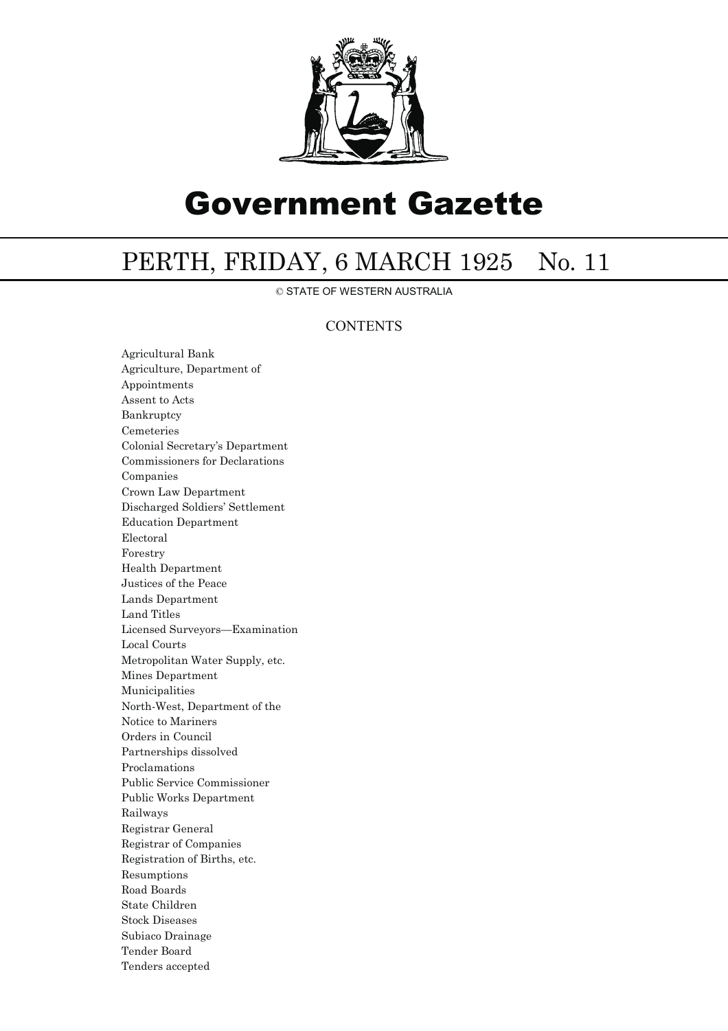

# Government Gazette

## PERTH, FRIDAY, 6 MARCH 1925 No. 11

© STATE OF WESTERN AUSTRALIA

### **CONTENTS**

Agricultural Bank Agriculture, Department of Appointments Assent to Acts Bankruptcy Cemeteries Colonial Secretary's Department Commissioners for Declarations Companies Crown Law Department Discharged Soldiers' Settlement Education Department Electoral Forestry Health Department Justices of the Peace Lands Department Land Titles Licensed Surveyors—Examination Local Courts Metropolitan Water Supply, etc. Mines Department Municipalities North-West, Department of the Notice to Mariners Orders in Council Partnerships dissolved Proclamations Public Service Commissioner Public Works Department Railways Registrar General Registrar of Companies Registration of Births, etc. Resumptions Road Boards State Children Stock Diseases Subiaco Drainage Tender Board Tenders accepted